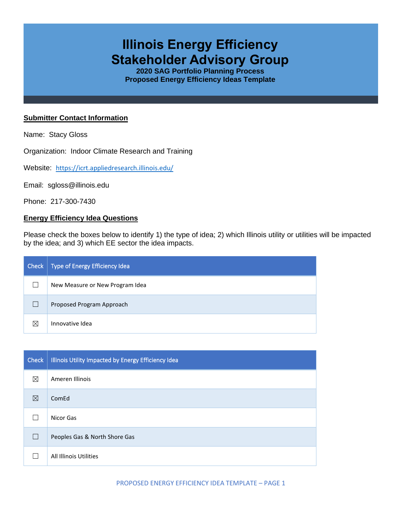# **Illinois Energy Efficiency Stakeholder Advisory Group**

**2020 SAG Portfolio Planning Process Proposed Energy Efficiency Ideas Template**

### **Submitter Contact Information**

Name: Stacy Gloss

Organization: Indoor Climate Research and Training

Website: <https://icrt.appliedresearch.illinois.edu/>

Email: sgloss@illinois.edu

Phone: 217-300-7430

## **Energy Efficiency Idea Questions**

Please check the boxes below to identify 1) the type of idea; 2) which Illinois utility or utilities will be impacted by the idea; and 3) which EE sector the idea impacts.

| Check       | Type of Energy Efficiency Idea  |
|-------------|---------------------------------|
|             | New Measure or New Program Idea |
|             | Proposed Program Approach       |
| $\boxtimes$ | Innovative Idea                 |

| <b>Check</b> | Illinois Utility Impacted by Energy Efficiency Idea |
|--------------|-----------------------------------------------------|
| $\boxtimes$  | Ameren Illinois                                     |
| ⊠            | ComEd                                               |
|              | Nicor Gas                                           |
| $\mathbf{I}$ | Peoples Gas & North Shore Gas                       |
|              | All Illinois Utilities                              |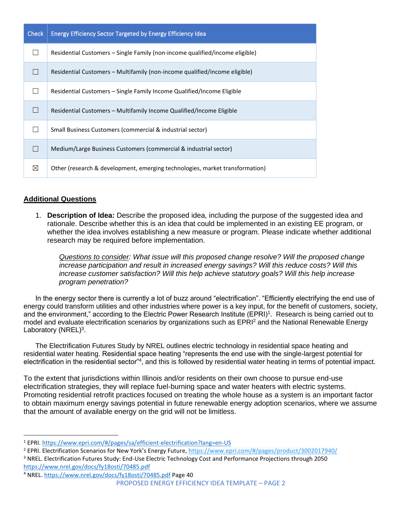| Check | <b>Energy Efficiency Sector Targeted by Energy Efficiency Idea</b>           |
|-------|------------------------------------------------------------------------------|
|       | Residential Customers – Single Family (non-income qualified/income eligible) |
|       | Residential Customers – Multifamily (non-income qualified/income eligible)   |
|       | Residential Customers – Single Family Income Qualified/Income Eligible       |
|       | Residential Customers – Multifamily Income Qualified/Income Eligible         |
|       | Small Business Customers (commercial & industrial sector)                    |
|       | Medium/Large Business Customers (commercial & industrial sector)             |
| ⊠     | Other (research & development, emerging technologies, market transformation) |

# **Additional Questions**

1. **Description of Idea:** Describe the proposed idea, including the purpose of the suggested idea and rationale. Describe whether this is an idea that could be implemented in an existing EE program, or whether the idea involves establishing a new measure or program. Please indicate whether additional research may be required before implementation.

*Questions to consider: What issue will this proposed change resolve? Will the proposed change increase participation and result in increased energy savings? Will this reduce costs? Will this increase customer satisfaction? Will this help achieve statutory goals? Will this help increase program penetration?* 

In the energy sector there is currently a lot of buzz around "electrification". "Efficiently electrifying the end use of energy could transform utilities and other industries where power is a key input, for the benefit of customers, society, and the environment," according to the Electric Power Research Institute (EPRI)<sup>1</sup>. Research is being carried out to model and evaluate electrification scenarios by organizations such as EPRI<sup>2</sup> and the National Renewable Energy Laboratory (NREL)<sup>3</sup>.

The Electrification Futures Study by NREL outlines electric technology in residential space heating and residential water heating. Residential space heating "represents the end use with the single-largest potential for electrification in the residential sector"<sup>4</sup>, and this is followed by residential water heating in terms of potential impact.

To the extent that jurisdictions within Illinois and/or residents on their own choose to pursue end-use electrification strategies, they will replace fuel-burning space and water heaters with electric systems. Promoting residential retrofit practices focused on treating the whole house as a system is an important factor to obtain maximum energy savings potential in future renewable energy adoption scenarios, where we assume that the amount of available energy on the grid will not be limitless.

<sup>3</sup> NREL. Electrification Futures Study: End-Use Electric Technology Cost and Performance Projections through 2050 <https://www.nrel.gov/docs/fy18osti/70485.pdf>

<sup>1</sup> EPRI[. https://www.epri.com/#/pages/sa/efficient-electrification?lang=en-US](https://www.epri.com/#/pages/sa/efficient-electrification?lang=en-US)

<sup>2</sup> EPRI. Electrification Scenarios for New York's Energy Future[, https://www.epri.com/#/pages/product/3002017940/](https://www.epri.com/#/pages/product/3002017940/) 

PROPOSED ENERGY EFFICIENCY IDEA TEMPLATE – PAGE 2 <sup>4</sup> NREL.<https://www.nrel.gov/docs/fy18osti/70485.pdf> Page 40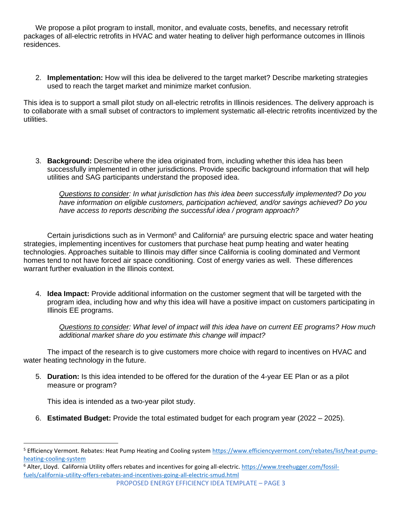We propose a pilot program to install, monitor, and evaluate costs, benefits, and necessary retrofit packages of all-electric retrofits in HVAC and water heating to deliver high performance outcomes in Illinois residences.

2. **Implementation:** How will this idea be delivered to the target market? Describe marketing strategies used to reach the target market and minimize market confusion.

This idea is to support a small pilot study on all-electric retrofits in Illinois residences. The delivery approach is to collaborate with a small subset of contractors to implement systematic all-electric retrofits incentivized by the utilities.

3. **Background:** Describe where the idea originated from, including whether this idea has been successfully implemented in other jurisdictions. Provide specific background information that will help utilities and SAG participants understand the proposed idea.

*Questions to consider: In what jurisdiction has this idea been successfully implemented? Do you have information on eligible customers, participation achieved, and/or savings achieved? Do you have access to reports describing the successful idea / program approach?* 

Certain iurisdictions such as in Vermont<sup>5</sup> and California<sup>6</sup> are pursuing electric space and water heating strategies, implementing incentives for customers that purchase heat pump heating and water heating technologies. Approaches suitable to Illinois may differ since California is cooling dominated and Vermont homes tend to not have forced air space conditioning. Cost of energy varies as well. These differences warrant further evaluation in the Illinois context.

4. **Idea Impact:** Provide additional information on the customer segment that will be targeted with the program idea, including how and why this idea will have a positive impact on customers participating in Illinois EE programs.

*Questions to consider: What level of impact will this idea have on current EE programs? How much additional market share do you estimate this change will impact?*

The impact of the research is to give customers more choice with regard to incentives on HVAC and water heating technology in the future.

5. **Duration:** Is this idea intended to be offered for the duration of the 4-year EE Plan or as a pilot measure or program?

This idea is intended as a two-year pilot study.

6. **Estimated Budget:** Provide the total estimated budget for each program year (2022 – 2025).

<sup>6</sup> Alter, Lloyd. California Utility offers rebates and incentives for going all-electric. [https://www.treehugger.com/fossil](https://www.treehugger.com/fossil-fuels/california-utility-offers-rebates-and-incentives-going-all-electric-smud.html)[fuels/california-utility-offers-rebates-and-incentives-going-all-electric-smud.html](https://www.treehugger.com/fossil-fuels/california-utility-offers-rebates-and-incentives-going-all-electric-smud.html)

<sup>&</sup>lt;sup>5</sup> Efficiency Vermont. Rebates: Heat Pump Heating and Cooling syste[m https://www.efficiencyvermont.com/rebates/list/heat-pump](https://www.efficiencyvermont.com/rebates/list/heat-pump-heating-cooling-system)[heating-cooling-system](https://www.efficiencyvermont.com/rebates/list/heat-pump-heating-cooling-system)